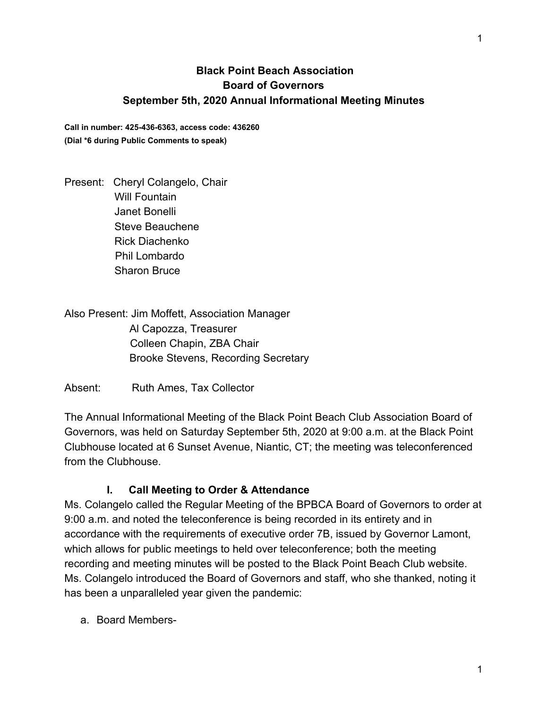## **Black Point Beach Association Board of Governors September 5th, 2020 Annual Informational Meeting Minutes**

**Call in number: 425-436-6363, access code: 436260 (Dial \*6 during Public Comments to speak)**

Present: Cheryl Colangelo, Chair Will Fountain Janet Bonelli Steve Beauchene Rick Diachenko Phil Lombardo Sharon Bruce

Also Present: Jim Moffett, Association Manager Al Capozza, Treasurer Colleen Chapin, ZBA Chair Brooke Stevens, Recording Secretary

Absent: Ruth Ames, Tax Collector

The Annual Informational Meeting of the Black Point Beach Club Association Board of Governors, was held on Saturday September 5th, 2020 at 9:00 a.m. at the Black Point Clubhouse located at 6 Sunset Avenue, Niantic, CT; the meeting was teleconferenced from the Clubhouse.

## **I. Call Meeting to Order & Attendance**

Ms. Colangelo called the Regular Meeting of the BPBCA Board of Governors to order at 9:00 a.m. and noted the teleconference is being recorded in its entirety and in accordance with the requirements of executive order 7B, issued by Governor Lamont, which allows for public meetings to held over teleconference; both the meeting recording and meeting minutes will be posted to the Black Point Beach Club website. Ms. Colangelo introduced the Board of Governors and staff, who she thanked, noting it has been a unparalleled year given the pandemic:

a. Board Members-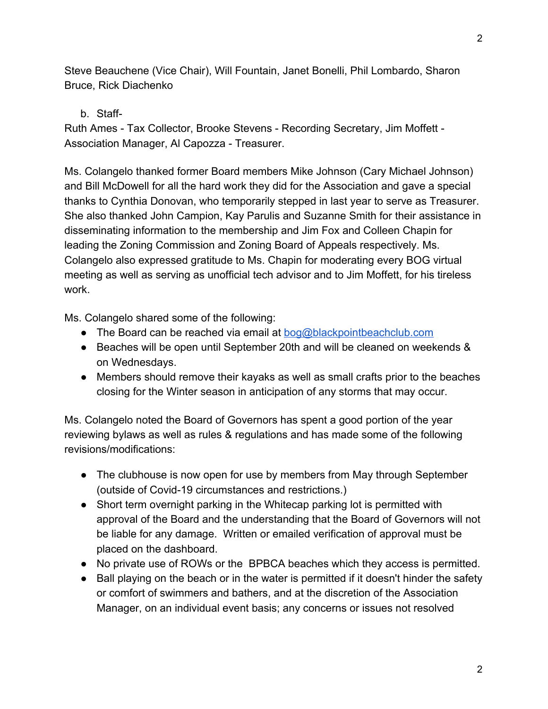Steve Beauchene (Vice Chair), Will Fountain, Janet Bonelli, Phil Lombardo, Sharon Bruce, Rick Diachenko

b. Staff-

Ruth Ames - Tax Collector, Brooke Stevens - Recording Secretary, Jim Moffett - Association Manager, Al Capozza - Treasurer.

Ms. Colangelo thanked former Board members Mike Johnson (Cary Michael Johnson) and Bill McDowell for all the hard work they did for the Association and gave a special thanks to Cynthia Donovan, who temporarily stepped in last year to serve as Treasurer. She also thanked John Campion, Kay Parulis and Suzanne Smith for their assistance in disseminating information to the membership and Jim Fox and Colleen Chapin for leading the Zoning Commission and Zoning Board of Appeals respectively. Ms. Colangelo also expressed gratitude to Ms. Chapin for moderating every BOG virtual meeting as well as serving as unofficial tech advisor and to Jim Moffett, for his tireless work.

Ms. Colangelo shared some of the following:

- The Board can be reached via email at  $bog@blackpointbeachclub.com$
- Beaches will be open until September 20th and will be cleaned on weekends & on Wednesdays.
- Members should remove their kayaks as well as small crafts prior to the beaches closing for the Winter season in anticipation of any storms that may occur.

Ms. Colangelo noted the Board of Governors has spent a good portion of the year reviewing bylaws as well as rules & regulations and has made some of the following revisions/modifications:

- The clubhouse is now open for use by members from May through September (outside of Covid-19 circumstances and restrictions.)
- Short term overnight parking in the Whitecap parking lot is permitted with approval of the Board and the understanding that the Board of Governors will not be liable for any damage. Written or emailed verification of approval must be placed on the dashboard.
- No private use of ROWs or the BPBCA beaches which they access is permitted.
- Ball playing on the beach or in the water is permitted if it doesn't hinder the safety or comfort of swimmers and bathers, and at the discretion of the Association Manager, on an individual event basis; any concerns or issues not resolved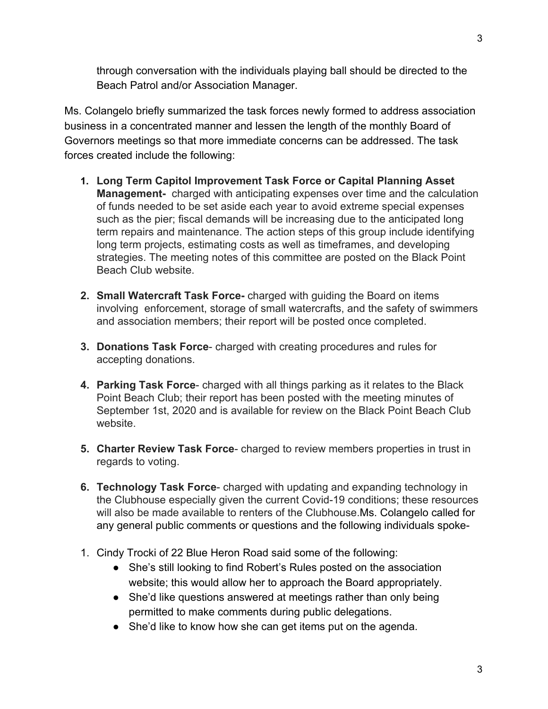3

through conversation with the individuals playing ball should be directed to the Beach Patrol and/or Association Manager.

Ms. Colangelo briefly summarized the task forces newly formed to address association business in a concentrated manner and lessen the length of the monthly Board of Governors meetings so that more immediate concerns can be addressed. The task forces created include the following:

- **1. Long Term Capitol Improvement Task Force or Capital Planning Asset Management-** charged with anticipating expenses over time and the calculation of funds needed to be set aside each year to avoid extreme special expenses such as the pier; fiscal demands will be increasing due to the anticipated long term repairs and maintenance. The action steps of this group include identifying long term projects, estimating costs as well as timeframes, and developing strategies. The meeting notes of this committee are posted on the Black Point Beach Club website.
- **2. Small Watercraft Task Force-** charged with guiding the Board on items involving enforcement, storage of small watercrafts, and the safety of swimmers and association members; their report will be posted once completed.
- **3. Donations Task Force** charged with creating procedures and rules for accepting donations.
- **4. Parking Task Force** charged with all things parking as it relates to the Black Point Beach Club; their report has been posted with the meeting minutes of September 1st, 2020 and is available for review on the Black Point Beach Club website.
- **5. Charter Review Task Force** charged to review members properties in trust in regards to voting.
- **6. Technology Task Force** charged with updating and expanding technology in the Clubhouse especially given the current Covid-19 conditions; these resources will also be made available to renters of the Clubhouse.Ms. Colangelo called for any general public comments or questions and the following individuals spoke-
- 1. Cindy Trocki of 22 Blue Heron Road said some of the following:
	- She's still looking to find Robert's Rules posted on the association website; this would allow her to approach the Board appropriately.
	- She'd like questions answered at meetings rather than only being permitted to make comments during public delegations.
	- She'd like to know how she can get items put on the agenda.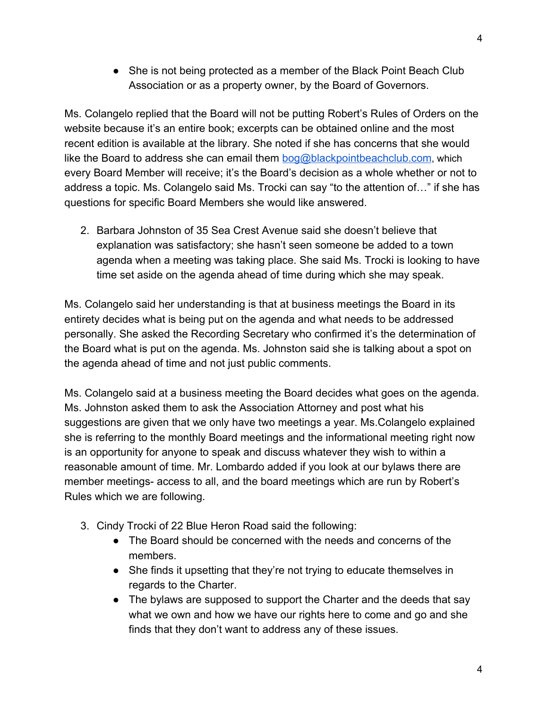• She is not being protected as a member of the Black Point Beach Club Association or as a property owner, by the Board of Governors.

Ms. Colangelo replied that the Board will not be putting Robert's Rules of Orders on the website because it's an entire book; excerpts can be obtained online and the most recent edition is available at the library. She noted if she has concerns that she would like the Board to address she can email them [bog@blackpointbeachclub.com](mailto:bog@blackpointbeachclub.com), which every Board Member will receive; it's the Board's decision as a whole whether or not to address a topic. Ms. Colangelo said Ms. Trocki can say "to the attention of…" if she has questions for specific Board Members she would like answered.

2. Barbara Johnston of 35 Sea Crest Avenue said she doesn't believe that explanation was satisfactory; she hasn't seen someone be added to a town agenda when a meeting was taking place. She said Ms. Trocki is looking to have time set aside on the agenda ahead of time during which she may speak.

Ms. Colangelo said her understanding is that at business meetings the Board in its entirety decides what is being put on the agenda and what needs to be addressed personally. She asked the Recording Secretary who confirmed it's the determination of the Board what is put on the agenda. Ms. Johnston said she is talking about a spot on the agenda ahead of time and not just public comments.

Ms. Colangelo said at a business meeting the Board decides what goes on the agenda. Ms. Johnston asked them to ask the Association Attorney and post what his suggestions are given that we only have two meetings a year. Ms.Colangelo explained she is referring to the monthly Board meetings and the informational meeting right now is an opportunity for anyone to speak and discuss whatever they wish to within a reasonable amount of time. Mr. Lombardo added if you look at our bylaws there are member meetings- access to all, and the board meetings which are run by Robert's Rules which we are following.

- 3. Cindy Trocki of 22 Blue Heron Road said the following:
	- The Board should be concerned with the needs and concerns of the members.
	- She finds it upsetting that they're not trying to educate themselves in regards to the Charter.
	- The bylaws are supposed to support the Charter and the deeds that say what we own and how we have our rights here to come and go and she finds that they don't want to address any of these issues.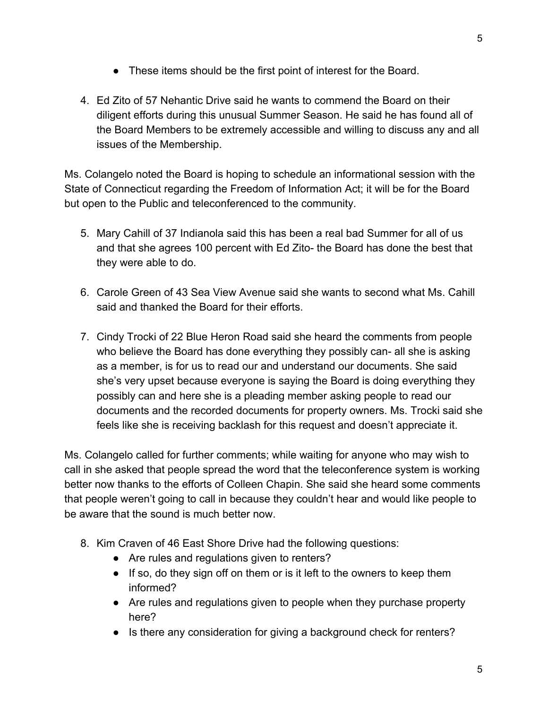- These items should be the first point of interest for the Board.
- 4. Ed Zito of 57 Nehantic Drive said he wants to commend the Board on their diligent efforts during this unusual Summer Season. He said he has found all of the Board Members to be extremely accessible and willing to discuss any and all issues of the Membership.

Ms. Colangelo noted the Board is hoping to schedule an informational session with the State of Connecticut regarding the Freedom of Information Act; it will be for the Board but open to the Public and teleconferenced to the community.

- 5. Mary Cahill of 37 Indianola said this has been a real bad Summer for all of us and that she agrees 100 percent with Ed Zito- the Board has done the best that they were able to do.
- 6. Carole Green of 43 Sea View Avenue said she wants to second what Ms. Cahill said and thanked the Board for their efforts.
- 7. Cindy Trocki of 22 Blue Heron Road said she heard the comments from people who believe the Board has done everything they possibly can- all she is asking as a member, is for us to read our and understand our documents. She said she's very upset because everyone is saying the Board is doing everything they possibly can and here she is a pleading member asking people to read our documents and the recorded documents for property owners. Ms. Trocki said she feels like she is receiving backlash for this request and doesn't appreciate it.

Ms. Colangelo called for further comments; while waiting for anyone who may wish to call in she asked that people spread the word that the teleconference system is working better now thanks to the efforts of Colleen Chapin. She said she heard some comments that people weren't going to call in because they couldn't hear and would like people to be aware that the sound is much better now.

- 8. Kim Craven of 46 East Shore Drive had the following questions:
	- Are rules and regulations given to renters?
	- If so, do they sign off on them or is it left to the owners to keep them informed?
	- Are rules and regulations given to people when they purchase property here?
	- Is there any consideration for giving a background check for renters?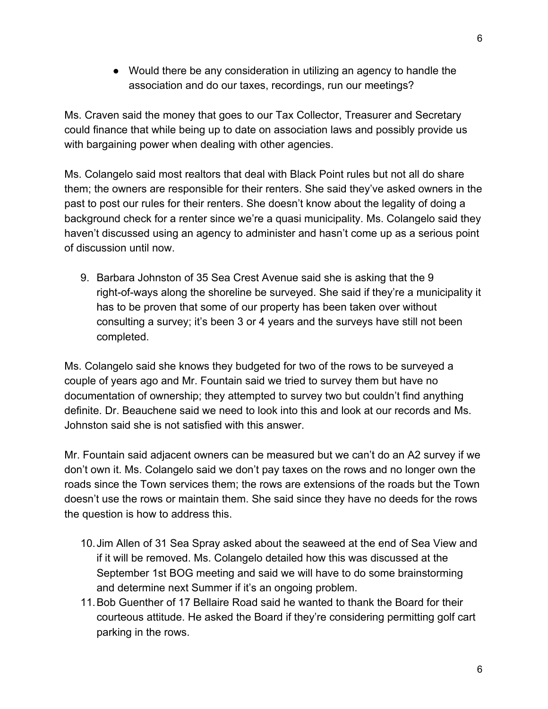● Would there be any consideration in utilizing an agency to handle the association and do our taxes, recordings, run our meetings?

Ms. Craven said the money that goes to our Tax Collector, Treasurer and Secretary could finance that while being up to date on association laws and possibly provide us with bargaining power when dealing with other agencies.

Ms. Colangelo said most realtors that deal with Black Point rules but not all do share them; the owners are responsible for their renters. She said they've asked owners in the past to post our rules for their renters. She doesn't know about the legality of doing a background check for a renter since we're a quasi municipality. Ms. Colangelo said they haven't discussed using an agency to administer and hasn't come up as a serious point of discussion until now.

9. Barbara Johnston of 35 Sea Crest Avenue said she is asking that the 9 right-of-ways along the shoreline be surveyed. She said if they're a municipality it has to be proven that some of our property has been taken over without consulting a survey; it's been 3 or 4 years and the surveys have still not been completed.

Ms. Colangelo said she knows they budgeted for two of the rows to be surveyed a couple of years ago and Mr. Fountain said we tried to survey them but have no documentation of ownership; they attempted to survey two but couldn't find anything definite. Dr. Beauchene said we need to look into this and look at our records and Ms. Johnston said she is not satisfied with this answer.

Mr. Fountain said adjacent owners can be measured but we can't do an A2 survey if we don't own it. Ms. Colangelo said we don't pay taxes on the rows and no longer own the roads since the Town services them; the rows are extensions of the roads but the Town doesn't use the rows or maintain them. She said since they have no deeds for the rows the question is how to address this.

- 10.Jim Allen of 31 Sea Spray asked about the seaweed at the end of Sea View and if it will be removed. Ms. Colangelo detailed how this was discussed at the September 1st BOG meeting and said we will have to do some brainstorming and determine next Summer if it's an ongoing problem.
- 11.Bob Guenther of 17 Bellaire Road said he wanted to thank the Board for their courteous attitude. He asked the Board if they're considering permitting golf cart parking in the rows.